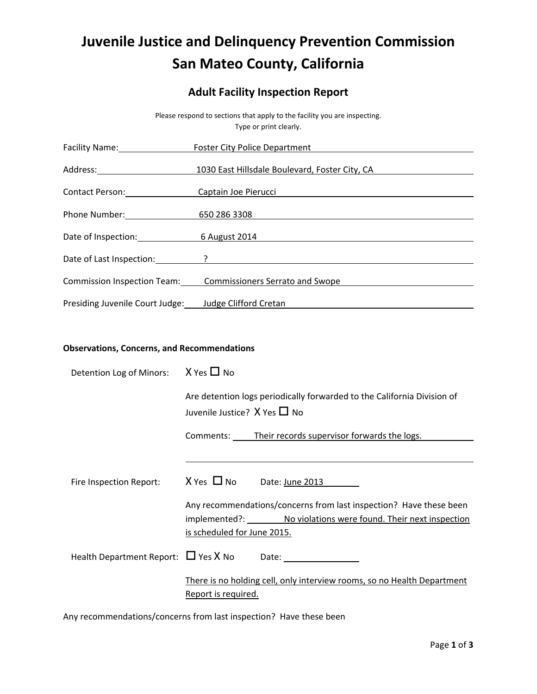# **Juvenile Justice and Delinquency Prevention Commission San Mateo County, California**

# **Adult Facility Inspection Report**

| Please respond to sections that apply to the facility you are inspecting.<br>Type or print clearly.                                                                                                                            |                                                                                                                                                                    |  |
|--------------------------------------------------------------------------------------------------------------------------------------------------------------------------------------------------------------------------------|--------------------------------------------------------------------------------------------------------------------------------------------------------------------|--|
| Facility Name: Management of the Management of the Management of the Management of the Management of the Management of the Management of the Management of the Management of the Management of the Management of the Managemen | <b>Foster City Police Department</b><br><u> 1989 - Johann Stein, fransk politik (d. 1989)</u>                                                                      |  |
|                                                                                                                                                                                                                                | 1030 East Hillsdale Boulevard, Foster City, CA                                                                                                                     |  |
|                                                                                                                                                                                                                                | Contact Person: Captain Joe Pierucci Contact Person: Captain Joe Pierucci Contact Person: Captain Joe Pierucci                                                     |  |
|                                                                                                                                                                                                                                | Phone Number: 650 286 3308                                                                                                                                         |  |
|                                                                                                                                                                                                                                | Date of Inspection: 6 August 2014                                                                                                                                  |  |
|                                                                                                                                                                                                                                |                                                                                                                                                                    |  |
|                                                                                                                                                                                                                                | Commission Inspection Team: Commissioners Serrato and Swope                                                                                                        |  |
| Presiding Juvenile Court Judge: Judge Clifford Cretan                                                                                                                                                                          | <u> 1980 - Andrea Andrew Maria (h. 1980).</u>                                                                                                                      |  |
|                                                                                                                                                                                                                                |                                                                                                                                                                    |  |
| <b>Observations, Concerns, and Recommendations</b>                                                                                                                                                                             |                                                                                                                                                                    |  |
| Detention Log of Minors:                                                                                                                                                                                                       | $X$ Yes $\Pi$ No                                                                                                                                                   |  |
|                                                                                                                                                                                                                                | Are detention logs periodically forwarded to the California Division of<br>Juvenile Justice? $X$ Yes $\Pi$ No                                                      |  |
|                                                                                                                                                                                                                                | Comments: Their records supervisor forwards the logs.                                                                                                              |  |
|                                                                                                                                                                                                                                |                                                                                                                                                                    |  |
| Fire Inspection Report:                                                                                                                                                                                                        | $X$ Yes $\Pi$ No Date: <u>June 2013</u>                                                                                                                            |  |
|                                                                                                                                                                                                                                | Any recommendations/concerns from last inspection? Have these been<br>implemented?: No violations were found. Their next inspection<br>is scheduled for June 2015. |  |
| Health Department Report: $\Box$ Yes X No                                                                                                                                                                                      |                                                                                                                                                                    |  |
|                                                                                                                                                                                                                                | There is no holding cell, only interview rooms, so no Health Department<br>Report is required.                                                                     |  |

Any recommendations/concerns from last inspection? Have these been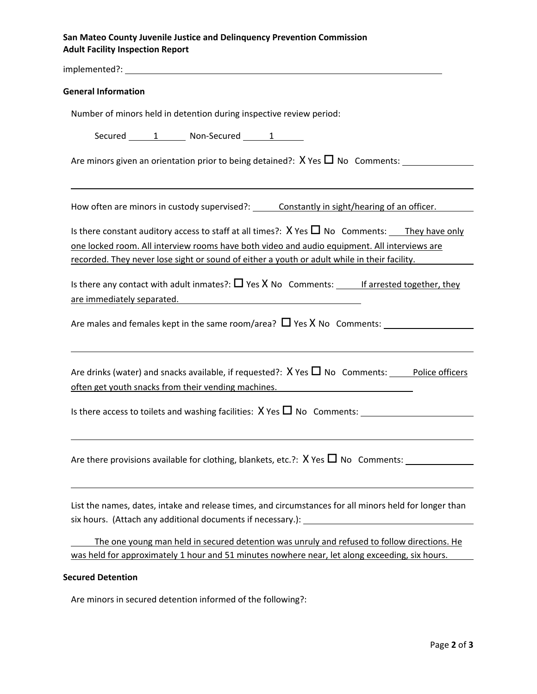## **San Mateo County Juvenile Justice and Delinquency Prevention Commission Adult Facility Inspection Report**

implemented?: **General Information** Number of minors held in detention during inspective review period: Secured 1 Non-Secured 1 Are minors given an orientation prior to being detained?:  $X$  Yes  $\Box$  No Comments: <u> 1989 - Andrea Santa Alemania, amerikana amerikana amerikana amerikana amerikana amerikana amerikana amerikan</u> How often are minors in custody supervised?: Constantly in sight/hearing of an officer. Is there constant auditory access to staff at all times?:  $X$  Yes  $\Pi$  No Comments: They have only one locked room. All interview rooms have both video and audio equipment. All interviews are recorded. They never lose sight or sound of either a youth or adult while in their facility. Is there any contact with adult inmates?:  $\Box$  Yes X No Comments: If arrested together, they are immediately separated. Are males and females kept in the same room/area?  $\Box$  Yes X No Comments: Are drinks (water) and snacks available, if requested?:  $X$  Yes  $\Pi$  No Comments: Police officers often get youth snacks from their vending machines. Is there access to toilets and washing facilities:  $X$  Yes  $\Pi$  No Comments: Are there provisions available for clothing, blankets, etc.?:  $X$  Yes  $\Box$  No Comments: List the names, dates, intake and release times, and circumstances for all minors held for longer than six hours. (Attach any additional documents if necessary.): The one young man held in secured detention was unruly and refused to follow directions. He was held for approximately 1 hour and 51 minutes nowhere near, let along exceeding, six hours. **Secured Detention**

Are minors in secured detention informed of the following?: